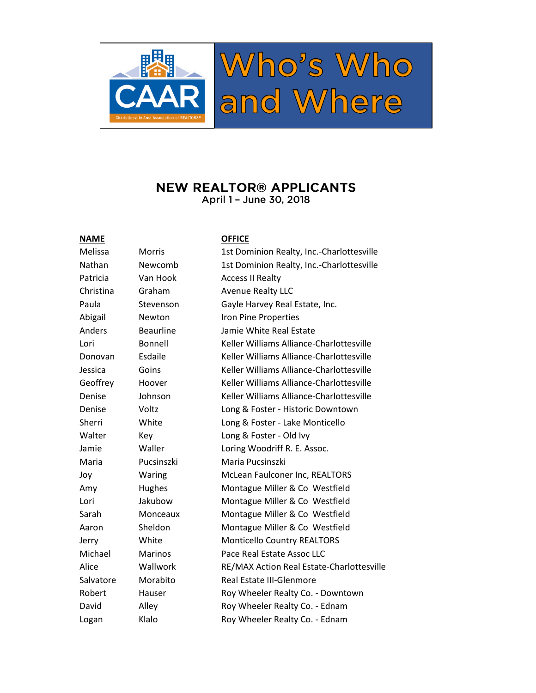

### **NEW REALTOR® APPLICANTS** April 1 - June 30, 2018

#### **NAME OFFICE**

| Melissa       | <b>Morris</b>    | 1st Dominion Realty, Inc.-Charlottesville |  |
|---------------|------------------|-------------------------------------------|--|
| Nathan        | Newcomb          | 1st Dominion Realty, Inc.-Charlottesville |  |
| Patricia      | Van Hook         | <b>Access II Realty</b>                   |  |
| Christina     | Graham           | <b>Avenue Realty LLC</b>                  |  |
| Paula         | Stevenson        | Gayle Harvey Real Estate, Inc.            |  |
| Abigail       | Newton           | Iron Pine Properties                      |  |
| <b>Anders</b> | <b>Beaurline</b> | Jamie White Real Estate                   |  |
| Lori          | Bonnell          | Keller Williams Alliance-Charlottesville  |  |
| Donovan       | Esdaile          | Keller Williams Alliance-Charlottesville  |  |
| Jessica       | Goins            | Keller Williams Alliance-Charlottesville  |  |
| Geoffrey      | Hoover           | Keller Williams Alliance-Charlottesville  |  |
| Denise        | Johnson          | Keller Williams Alliance-Charlottesville  |  |
| Denise        | Voltz            | Long & Foster - Historic Downtown         |  |
| Sherri        | White            | Long & Foster - Lake Monticello           |  |
| Walter        | Key              | Long & Foster - Old Ivy                   |  |
| Jamie         | Waller           | Loring Woodriff R. E. Assoc.              |  |
| Maria         | Pucsinszki       | Maria Pucsinszki                          |  |
| Joy           | Waring           | McLean Faulconer Inc, REALTORS            |  |
| Amy           | Hughes           | Montague Miller & Co Westfield            |  |
| Lori          | Jakubow          | Montague Miller & Co Westfield            |  |
| Sarah         | Monceaux         | Montague Miller & Co Westfield            |  |
| Aaron         | Sheldon          | Montague Miller & Co Westfield            |  |
| Jerry         | White            | <b>Monticello Country REALTORS</b>        |  |
| Michael       | <b>Marinos</b>   | Pace Real Estate Assoc LLC                |  |
| Alice         | Wallwork         | RE/MAX Action Real Estate-Charlottesville |  |
| Salvatore     | Morabito         | <b>Real Estate III-Glenmore</b>           |  |
| Robert        | Hauser           | Roy Wheeler Realty Co. - Downtown         |  |
| David         | Alley            | Roy Wheeler Realty Co. - Ednam            |  |
| Logan         | Klalo            | Roy Wheeler Realty Co. - Ednam            |  |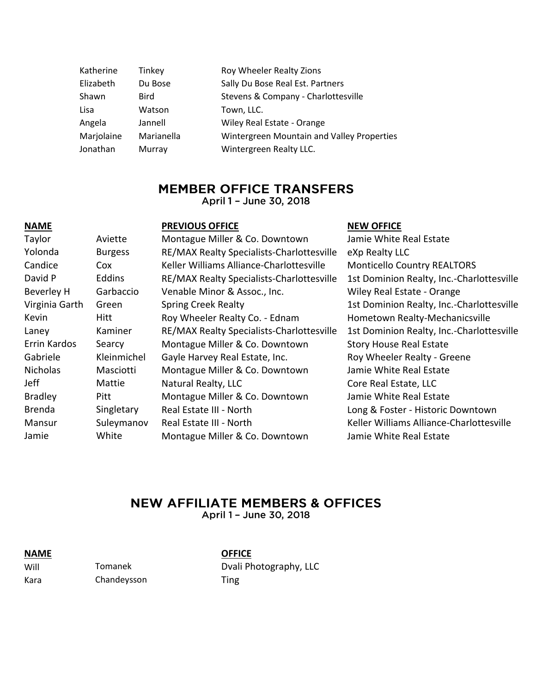| Katherine  | Tinkey      | Roy Wheeler Realty Zions                   |
|------------|-------------|--------------------------------------------|
| Elizabeth  | Du Bose     | Sally Du Bose Real Est. Partners           |
| Shawn      | <b>Bird</b> | Stevens & Company - Charlottesville        |
| Lisa       | Watson      | Town, LLC.                                 |
| Angela     | Jannell     | Wiley Real Estate - Orange                 |
| Marjolaine | Marianella  | Wintergreen Mountain and Valley Properties |
| Jonathan   | Murray      | Wintergreen Realty LLC.                    |

## **MEMBER OFFICE TRANSFERS**

April 1 - June 30, 2018

| <b>NAME</b>       |                | <b>PREVIOUS OFFICE</b>                    | <b>NEW OFFICE</b>                         |
|-------------------|----------------|-------------------------------------------|-------------------------------------------|
| Taylor            | Aviette        | Montague Miller & Co. Downtown            | Jamie White Real Estate                   |
| Yolonda           | <b>Burgess</b> | RE/MAX Realty Specialists-Charlottesville | eXp Realty LLC                            |
| Candice           | <b>Cox</b>     | Keller Williams Alliance-Charlottesville  | <b>Monticello Country REALTORS</b>        |
| David P           | Eddins         | RE/MAX Realty Specialists-Charlottesville | 1st Dominion Realty, Inc.-Charlottesville |
| <b>Beverley H</b> | Garbaccio      | Venable Minor & Assoc., Inc.              | Wiley Real Estate - Orange                |
| Virginia Garth    | Green          | <b>Spring Creek Realty</b>                | 1st Dominion Realty, Inc.-Charlottesville |
| Kevin             | Hitt           | Roy Wheeler Realty Co. - Ednam            | Hometown Realty-Mechanicsville            |
| Laney             | Kaminer        | RE/MAX Realty Specialists-Charlottesville | 1st Dominion Realty, Inc.-Charlottesville |
| Errin Kardos      | Searcy         | Montague Miller & Co. Downtown            | <b>Story House Real Estate</b>            |
| Gabriele          | Kleinmichel    | Gayle Harvey Real Estate, Inc.            | Roy Wheeler Realty - Greene               |
| <b>Nicholas</b>   | Masciotti      | Montague Miller & Co. Downtown            | Jamie White Real Estate                   |
| Jeff              | Mattie         | Natural Realty, LLC                       | Core Real Estate, LLC                     |
| <b>Bradley</b>    | Pitt           | Montague Miller & Co. Downtown            | Jamie White Real Estate                   |
| <b>Brenda</b>     | Singletary     | Real Estate III - North                   | Long & Foster - Historic Downtown         |
| Mansur            | Suleymanov     | Real Estate III - North                   | Keller Williams Alliance-Charlottesville  |
| Jamie             | White          | Montague Miller & Co. Downtown            | Jamie White Real Estate                   |

# **NEW AFFILIATE MEMBERS & OFFICES**

April 1 - June 30, 2018

Kara Chandeysson Ting

**OFFICE** 

Will Tomanek Dvali Photography, LLC